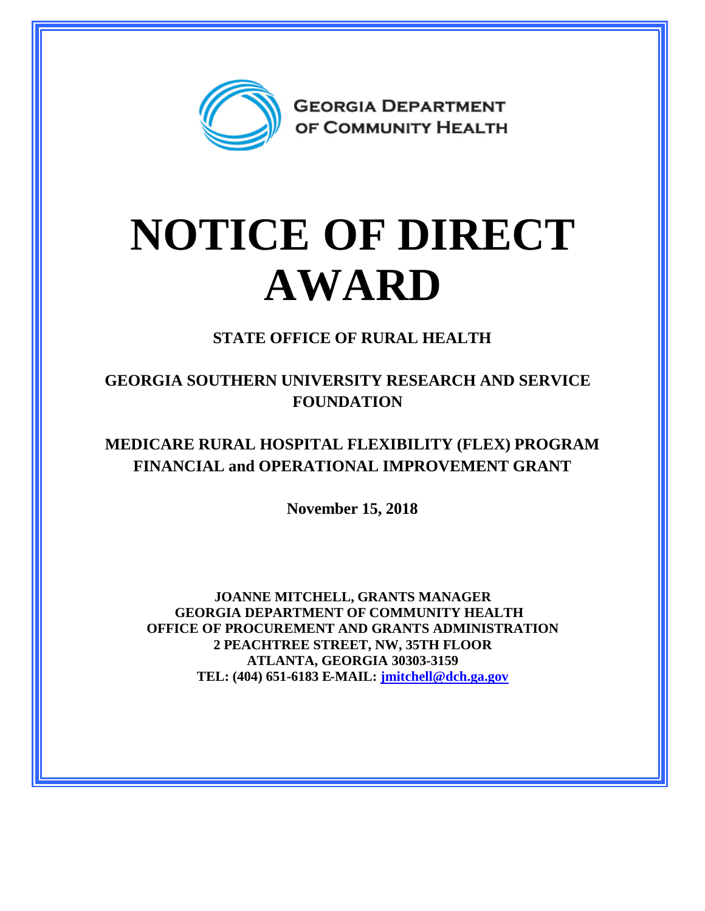

## **NOTICE OF DIRECT AWARD**

**STATE OFFICE OF RURAL HEALTH**

**GEORGIA SOUTHERN UNIVERSITY RESEARCH AND SERVICE FOUNDATION**

**MEDICARE RURAL HOSPITAL FLEXIBILITY (FLEX) PROGRAM FINANCIAL and OPERATIONAL IMPROVEMENT GRANT**

**November 15, 2018**

**JOANNE MITCHELL, GRANTS MANAGER GEORGIA DEPARTMENT OF COMMUNITY HEALTH OFFICE OF PROCUREMENT AND GRANTS ADMINISTRATION 2 PEACHTREE STREET, NW, 35TH FLOOR ATLANTA, GEORGIA 30303-3159 TEL: (404) 651-6183 E-MAIL: [jmitchell@dch.ga.gov](mailto:jmitchell@dch.ga.gov)**